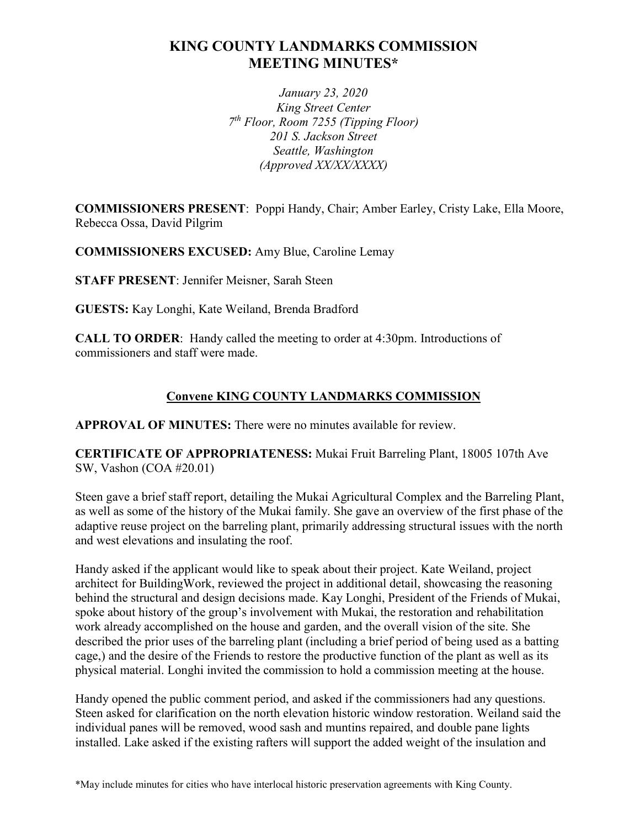## **KING COUNTY LANDMARKS COMMISSION MEETING MINUTES\***

*January 23, 2020 King Street Center 7th Floor, Room 7255 (Tipping Floor) 201 S. Jackson Street Seattle, Washington (Approved XX/XX/XXXX)*

**COMMISSIONERS PRESENT**: Poppi Handy, Chair; Amber Earley, Cristy Lake, Ella Moore, Rebecca Ossa, David Pilgrim

**COMMISSIONERS EXCUSED:** Amy Blue, Caroline Lemay

**STAFF PRESENT**: Jennifer Meisner, Sarah Steen

**GUESTS:** Kay Longhi, Kate Weiland, Brenda Bradford

**CALL TO ORDER**: Handy called the meeting to order at 4:30pm. Introductions of commissioners and staff were made.

## **Convene KING COUNTY LANDMARKS COMMISSION**

**APPROVAL OF MINUTES:** There were no minutes available for review.

**CERTIFICATE OF APPROPRIATENESS:** Mukai Fruit Barreling Plant, 18005 107th Ave SW, Vashon (COA #20.01)

Steen gave a brief staff report, detailing the Mukai Agricultural Complex and the Barreling Plant, as well as some of the history of the Mukai family. She gave an overview of the first phase of the adaptive reuse project on the barreling plant, primarily addressing structural issues with the north and west elevations and insulating the roof.

Handy asked if the applicant would like to speak about their project. Kate Weiland, project architect for BuildingWork, reviewed the project in additional detail, showcasing the reasoning behind the structural and design decisions made. Kay Longhi, President of the Friends of Mukai, spoke about history of the group's involvement with Mukai, the restoration and rehabilitation work already accomplished on the house and garden, and the overall vision of the site. She described the prior uses of the barreling plant (including a brief period of being used as a batting cage,) and the desire of the Friends to restore the productive function of the plant as well as its physical material. Longhi invited the commission to hold a commission meeting at the house.

Handy opened the public comment period, and asked if the commissioners had any questions. Steen asked for clarification on the north elevation historic window restoration. Weiland said the individual panes will be removed, wood sash and muntins repaired, and double pane lights installed. Lake asked if the existing rafters will support the added weight of the insulation and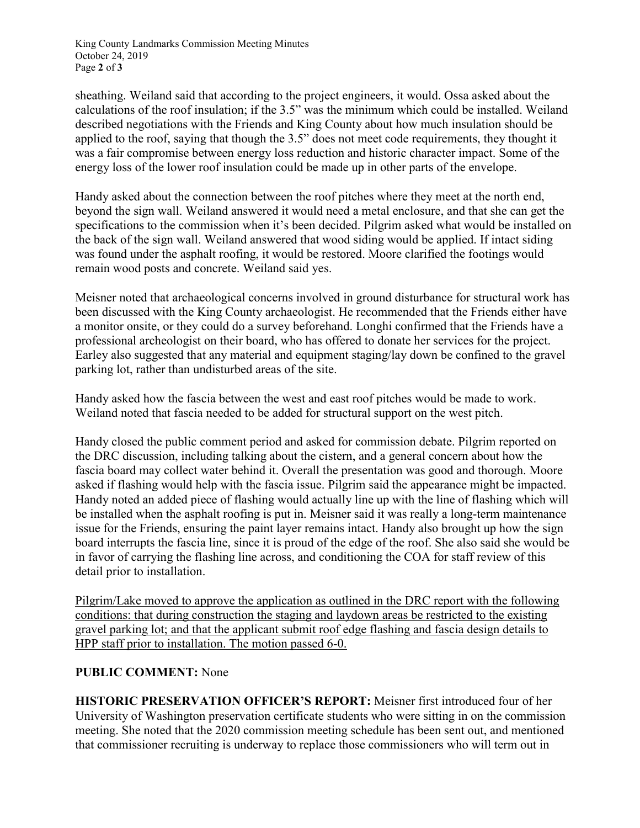King County Landmarks Commission Meeting Minutes October 24, 2019 Page **2** of **3**

sheathing. Weiland said that according to the project engineers, it would. Ossa asked about the calculations of the roof insulation; if the 3.5" was the minimum which could be installed. Weiland described negotiations with the Friends and King County about how much insulation should be applied to the roof, saying that though the 3.5" does not meet code requirements, they thought it was a fair compromise between energy loss reduction and historic character impact. Some of the energy loss of the lower roof insulation could be made up in other parts of the envelope.

Handy asked about the connection between the roof pitches where they meet at the north end, beyond the sign wall. Weiland answered it would need a metal enclosure, and that she can get the specifications to the commission when it's been decided. Pilgrim asked what would be installed on the back of the sign wall. Weiland answered that wood siding would be applied. If intact siding was found under the asphalt roofing, it would be restored. Moore clarified the footings would remain wood posts and concrete. Weiland said yes.

Meisner noted that archaeological concerns involved in ground disturbance for structural work has been discussed with the King County archaeologist. He recommended that the Friends either have a monitor onsite, or they could do a survey beforehand. Longhi confirmed that the Friends have a professional archeologist on their board, who has offered to donate her services for the project. Earley also suggested that any material and equipment staging/lay down be confined to the gravel parking lot, rather than undisturbed areas of the site.

Handy asked how the fascia between the west and east roof pitches would be made to work. Weiland noted that fascia needed to be added for structural support on the west pitch.

Handy closed the public comment period and asked for commission debate. Pilgrim reported on the DRC discussion, including talking about the cistern, and a general concern about how the fascia board may collect water behind it. Overall the presentation was good and thorough. Moore asked if flashing would help with the fascia issue. Pilgrim said the appearance might be impacted. Handy noted an added piece of flashing would actually line up with the line of flashing which will be installed when the asphalt roofing is put in. Meisner said it was really a long-term maintenance issue for the Friends, ensuring the paint layer remains intact. Handy also brought up how the sign board interrupts the fascia line, since it is proud of the edge of the roof. She also said she would be in favor of carrying the flashing line across, and conditioning the COA for staff review of this detail prior to installation.

Pilgrim/Lake moved to approve the application as outlined in the DRC report with the following conditions: that during construction the staging and laydown areas be restricted to the existing gravel parking lot; and that the applicant submit roof edge flashing and fascia design details to HPP staff prior to installation. The motion passed 6-0.

## **PUBLIC COMMENT:** None

**HISTORIC PRESERVATION OFFICER'S REPORT:** Meisner first introduced four of her University of Washington preservation certificate students who were sitting in on the commission meeting. She noted that the 2020 commission meeting schedule has been sent out, and mentioned that commissioner recruiting is underway to replace those commissioners who will term out in